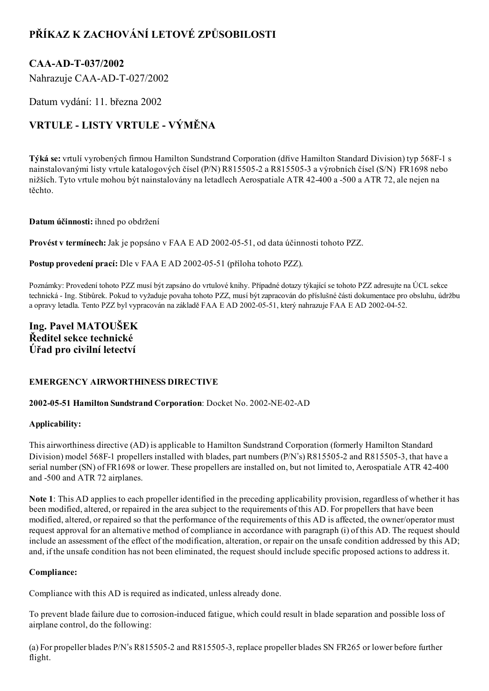## PŘÍKAZ K ZACHOVÁNÍ LETOVÉ ZPŮSOBILOSTI

## CAA-AD-T-037/2002

Nahrazuje CAA-AD-T-027/2002

Datum vydání: 11. března 2002

# VRTULE - LISTY VRTULE - VÝMĚNA

Týká se: vrtulí vyrobených firmou Hamilton Sundstrand Corporation (dříve Hamilton Standard Division) typ 568F1 s nainstalovanými listy vrtule katalogových čísel (P/N) R8155052 a R8155053 a výrobních čísel (S/N) FR1698 nebo nižších. Tyto vrtule mohou být nainstalovány na letadlech Aerospatiale ATR 42400 a 500 a ATR 72, ale nejen na těchto.

#### Datum účinnosti: ihned po obdržení

Provést v termínech: Jak je popsáno v FAA E AD 2002-05-51, od data účinnosti tohoto PZZ.

Postup provedení prací: Dle v FAA E AD 2002-05-51 (příloha tohoto PZZ).

Poznámky: Provedení tohoto PZZ musí být zapsáno do vrtulové knihy. Případné dotazy týkající se tohoto PZZ adresujte na ÚCL sekce technická Ing. Stibůrek. Pokud to vyžaduje povaha tohoto PZZ, musí být zapracován do příslušné části dokumentace pro obsluhu, údržbu a opravy letadla. Tento PZZ byl vypracován na základě FAA E AD 2002-05-51, který nahrazuje FAA E AD 2002-04-52.

### Ing. Pavel MATOUŠEK Ředitel sekce technické Úřad pro civilní letectví

### EMERGENCY AIRWORTHINESS DIRECTIVE

#### 2002-05-51 Hamilton Sundstrand Corporation: Docket No. 2002-NE-02-AD

#### Applicability:

This airworthiness directive (AD) is applicable to Hamilton Sundstrand Corporation (formerly Hamilton Standard Division) model 568F-1 propellers installed with blades, part numbers (P/N's) R815505-2 and R815505-3, that have a serial number (SN) of FR1698 or lower. These propellers are installed on, but not limited to, Aerospatiale ATR 42400 and 500 and ATR 72 airplanes.

Note 1: This AD applies to each propeller identified in the preceding applicability provision, regardless of whether it has been modified, altered, or repaired in the area subject to the requirements of this AD. For propellers that have been modified, altered, or repaired so that the performance of the requirements of this AD is affected, the owner/operator must request approval for an alternative method of compliance in accordance with paragraph (i) of this AD. The request should include an assessment of the effect of the modification, alteration, or repair on the unsafe condition addressed by this AD; and, if the unsafe condition has not been eliminated, the request should include specific proposed actions to address it.

#### Compliance:

Compliance with this AD is required as indicated, unless already done.

To prevent blade failure due to corrosion-induced fatigue, which could result in blade separation and possible loss of airplane control, do the following:

(a) For propeller blades P/N's R8155052 and R8155053, replace propeller blades SN FR265 or lower before further flight.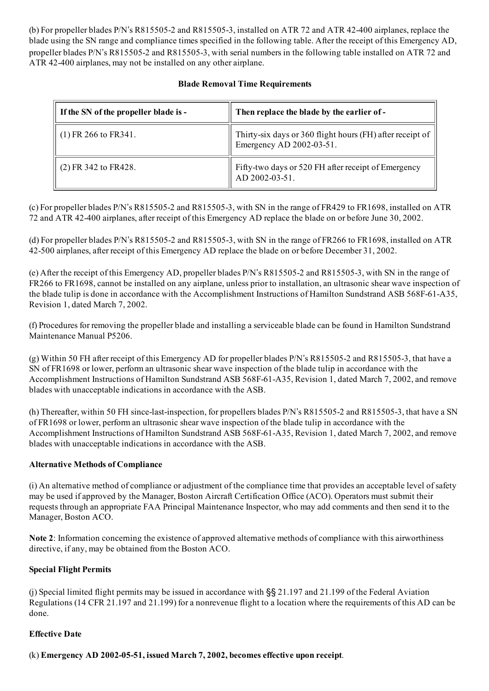(b) For propeller blades P/N's R8155052 and R8155053, installed on ATR 72 and ATR 42400 airplanes, replace the blade using the SN range and compliance times specified in the following table. After the receipt of this Emergency AD, propeller blades P/N's R8155052 and R8155053, with serial numbers in the following table installed on ATR 72 and ATR 42400 airplanes, may not be installed on any other airplane.

#### Blade Removal Time Requirements

| If the SN of the propeller blade is - | Then replace the blade by the earlier of -                                            |
|---------------------------------------|---------------------------------------------------------------------------------------|
| $(1)$ FR 266 to FR341.                | Thirty-six days or 360 flight hours (FH) after receipt of<br>Emergency AD 2002-03-51. |
| $(2)$ FR 342 to FR428.                | Fifty-two days or 520 FH after receipt of Emergency<br>AD 2002-03-51.                 |

(c) For propeller blades P/N's R8155052 and R8155053, with SN in the range of FR429 to FR1698, installed on ATR 72 and ATR 42400 airplanes, after receipt of this Emergency AD replace the blade on or before June 30, 2002.

(d) For propeller blades P/N's R8155052 and R8155053, with SN in the range of FR266 to FR1698, installed on ATR 42500 airplanes, after receipt of this Emergency AD replace the blade on or before December 31, 2002.

(e) After the receipt of this Emergency AD, propeller blades P/N's R8155052 and R8155053, with SN in the range of FR266 to FR1698, cannot be installed on any airplane, unless prior to installation, an ultrasonic shear wave inspection of the blade tulip is done in accordance with the Accomplishment Instructions of Hamilton Sundstrand ASB 568F-61-A35, Revision 1, dated March 7, 2002.

(f) Procedures for removing the propeller blade and installing a serviceable blade can be found in Hamilton Sundstrand Maintenance Manual P5206.

(g) Within 50 FH after receipt of this Emergency AD for propeller blades P/N's R8155052 and R8155053, that have a SN of FR1698 or lower, perform an ultrasonic shear wave inspection of the blade tulip in accordance with the Accomplishment Instructions of Hamilton Sundstrand ASB 568F-61-A35, Revision 1, dated March 7, 2002, and remove blades with unacceptable indications in accordance with the ASB.

(h) Thereafter, within 50 FH since-last-inspection, for propellers blades  $P/N$ 's  $R815505-2$  and  $R815505-3$ , that have a SN of FR1698 or lower, perform an ultrasonic shear wave inspection of the blade tulip in accordance with the Accomplishment Instructions of Hamilton Sundstrand ASB 568F-61-A35, Revision 1, dated March 7, 2002, and remove blades with unacceptable indications in accordance with the ASB.

#### Alternative Methods of Compliance

(i) An alternative method of compliance or adjustment of the compliance time that provides an acceptable level ofsafety may be used if approved by the Manager, Boston Aircraft Certification Office (ACO). Operators must submit their requests through an appropriate FAA Principal Maintenance Inspector, who may add comments and then send it to the Manager, Boston ACO.

Note 2: Information concerning the existence of approved alternative methods of compliance with this airworthiness directive, if any, may be obtained from the Boston ACO.

#### Special Flight Permits

(j) Special limited flight permits may be issued in accordance with §§ 21.197 and 21.199 of the Federal Aviation Regulations (14 CFR 21.197 and 21.199) for a nonrevenue flight to a location where the requirements of this AD can be done.

#### Effective Date

 $(k)$  Emergency AD 2002-05-51, issued March 7, 2002, becomes effective upon receipt.